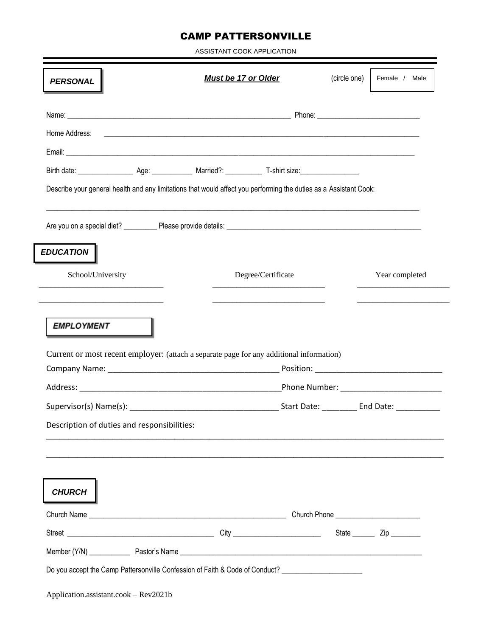## CAMP PATTERSONVILLE

ASSISTANT COOK APPLICATION

| <b>PERSONAL</b>                             | <b>Must be 17 or Older</b>                                                                                        | (circle one) | Female / Male  |
|---------------------------------------------|-------------------------------------------------------------------------------------------------------------------|--------------|----------------|
|                                             |                                                                                                                   |              |                |
|                                             |                                                                                                                   |              |                |
|                                             |                                                                                                                   |              |                |
|                                             |                                                                                                                   |              |                |
|                                             | Describe your general health and any limitations that would affect you performing the duties as a Assistant Cook: |              |                |
|                                             |                                                                                                                   |              |                |
| <b>EDUCATION</b>                            |                                                                                                                   |              |                |
| School/University                           | Degree/Certificate                                                                                                |              | Year completed |
|                                             |                                                                                                                   |              |                |
| <b>EMPLOYMENT</b>                           |                                                                                                                   |              |                |
|                                             | Current or most recent employer: (attach a separate page for any additional information)                          |              |                |
|                                             |                                                                                                                   |              |                |
| Description of duties and responsibilities: |                                                                                                                   |              |                |
|                                             |                                                                                                                   |              |                |
| <b>CHURCH</b>                               |                                                                                                                   |              |                |
|                                             |                                                                                                                   |              |                |
|                                             |                                                                                                                   |              |                |
|                                             |                                                                                                                   |              |                |